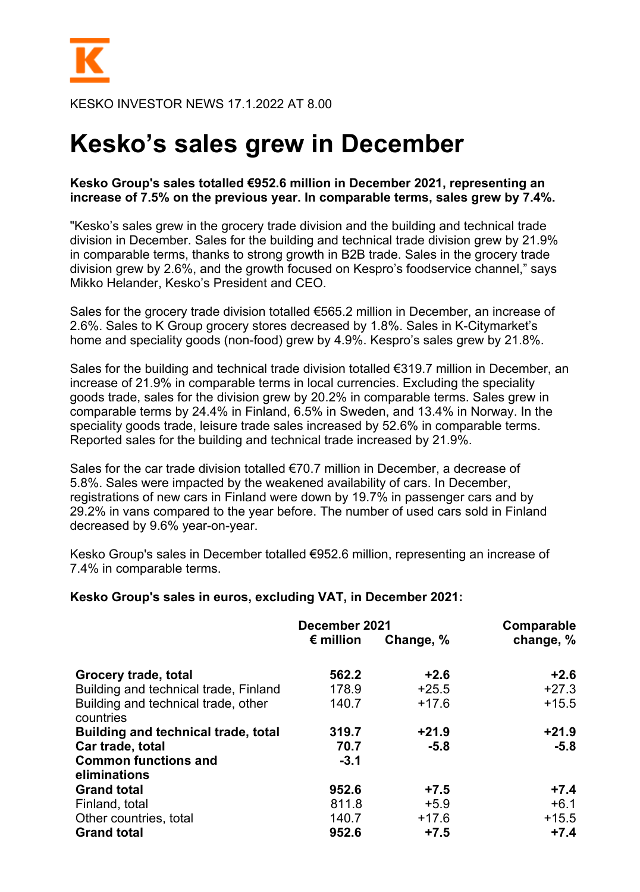

KESKO INVESTOR NEWS 17.1.2022 AT 8.00

## **Kesko's sales grew in December**

## **Kesko Group's sales totalled €952.6 million in December 2021, representing an increase of 7.5% on the previous year. In comparable terms, sales grew by 7.4%.**

"Kesko's sales grew in the grocery trade division and the building and technical trade division in December. Sales for the building and technical trade division grew by 21.9% in comparable terms, thanks to strong growth in B2B trade. Sales in the grocery trade division grew by 2.6%, and the growth focused on Kespro's foodservice channel," says Mikko Helander, Kesko's President and CEO.

Sales for the grocery trade division totalled €565.2 million in December, an increase of 2.6%. Sales to K Group grocery stores decreased by 1.8%. Sales in K-Citymarket's home and speciality goods (non-food) grew by 4.9%. Kespro's sales grew by 21.8%.

Sales for the building and technical trade division totalled €319.7 million in December, an increase of 21.9% in comparable terms in local currencies. Excluding the speciality goods trade, sales for the division grew by 20.2% in comparable terms. Sales grew in comparable terms by 24.4% in Finland, 6.5% in Sweden, and 13.4% in Norway. In the speciality goods trade, leisure trade sales increased by 52.6% in comparable terms. Reported sales for the building and technical trade increased by 21.9%.

Sales for the car trade division totalled €70.7 million in December, a decrease of 5.8%. Sales were impacted by the weakened availability of cars. In December, registrations of new cars in Finland were down by 19.7% in passenger cars and by 29.2% in vans compared to the year before. The number of used cars sold in Finland decreased by 9.6% year-on-year.

Kesko Group's sales in December totalled €952.6 million, representing an increase of 7.4% in comparable terms.

## **Kesko Group's sales in euros, excluding VAT, in December 2021:**

|                                                  | December 2021      | Comparable |           |
|--------------------------------------------------|--------------------|------------|-----------|
|                                                  | $\epsilon$ million | Change, %  | change, % |
| Grocery trade, total                             | 562.2              | $+2.6$     | $+2.6$    |
| Building and technical trade, Finland            | 178.9              | $+25.5$    | $+27.3$   |
| Building and technical trade, other<br>countries | 140.7              | $+17.6$    | $+15.5$   |
| <b>Building and technical trade, total</b>       | 319.7              | $+21.9$    | $+21.9$   |
| Car trade, total                                 | 70.7               | $-5.8$     | $-5.8$    |
| <b>Common functions and</b>                      | $-3.1$             |            |           |
| eliminations                                     |                    |            |           |
| <b>Grand total</b>                               | 952.6              | $+7.5$     | $+7.4$    |
| Finland, total                                   | 811.8              | $+5.9$     | $+6.1$    |
| Other countries, total                           | 140.7              | $+17.6$    | $+15.5$   |
| <b>Grand total</b>                               | 952.6              | $+7.5$     | $+7.4$    |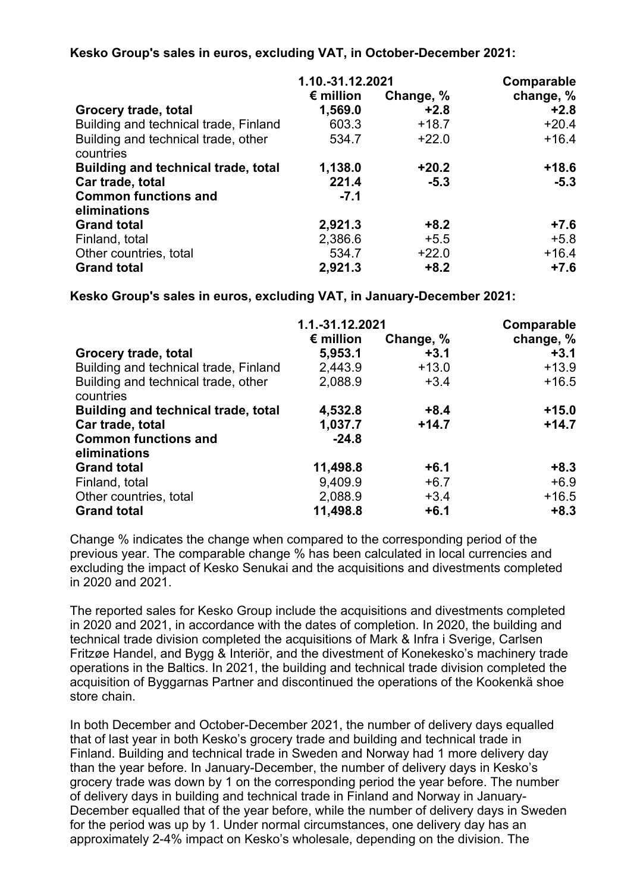## **Kesko Group's sales in euros, excluding VAT, in October-December 2021:**

|                                                  | 1.10.-31.12.2021   | Comparable |           |
|--------------------------------------------------|--------------------|------------|-----------|
|                                                  | $\epsilon$ million | Change, %  | change, % |
| Grocery trade, total                             | 1,569.0            | $+2.8$     | $+2.8$    |
| Building and technical trade, Finland            | 603.3              | $+18.7$    | $+20.4$   |
| Building and technical trade, other<br>countries | 534.7              | $+22.0$    | $+16.4$   |
| <b>Building and technical trade, total</b>       | 1,138.0            | $+20.2$    | $+18.6$   |
| Car trade, total                                 | 221.4              | $-5.3$     | $-5.3$    |
| <b>Common functions and</b><br>eliminations      | $-7.1$             |            |           |
| <b>Grand total</b>                               | 2,921.3            | $+8.2$     | $+7.6$    |
| Finland, total                                   | 2,386.6            | $+5.5$     | $+5.8$    |
| Other countries, total                           | 534.7              | $+22.0$    | $+16.4$   |
| <b>Grand total</b>                               | 2,921.3            | $+8.2$     | $+7.6$    |

**Kesko Group's sales in euros, excluding VAT, in January-December 2021:**

|                                                  | 1.1.-31.12.2021    | Comparable |           |
|--------------------------------------------------|--------------------|------------|-----------|
|                                                  | $\epsilon$ million | Change, %  | change, % |
| Grocery trade, total                             | 5,953.1            | $+3.1$     | $+3.1$    |
| Building and technical trade, Finland            | 2,443.9            | $+13.0$    | $+13.9$   |
| Building and technical trade, other<br>countries | 2,088.9            | $+3.4$     | $+16.5$   |
| <b>Building and technical trade, total</b>       | 4,532.8            | $+8.4$     | $+15.0$   |
| Car trade, total                                 | 1,037.7            | $+14.7$    | $+14.7$   |
| <b>Common functions and</b>                      | $-24.8$            |            |           |
| eliminations                                     |                    |            |           |
| <b>Grand total</b>                               | 11,498.8           | $+6.1$     | $+8.3$    |
| Finland, total                                   | 9,409.9            | $+6.7$     | $+6.9$    |
| Other countries, total                           | 2,088.9            | $+3.4$     | $+16.5$   |
| <b>Grand total</b>                               | 11,498.8           | $+6.1$     | $+8.3$    |

Change % indicates the change when compared to the corresponding period of the previous year. The comparable change % has been calculated in local currencies and excluding the impact of Kesko Senukai and the acquisitions and divestments completed in 2020 and 2021.

The reported sales for Kesko Group include the acquisitions and divestments completed in 2020 and 2021, in accordance with the dates of completion. In 2020, the building and technical trade division completed the acquisitions of Mark & Infra i Sverige, Carlsen Fritzøe Handel, and Bygg & Interiör, and the divestment of Konekesko's machinery trade operations in the Baltics. In 2021, the building and technical trade division completed the acquisition of Byggarnas Partner and discontinued the operations of the Kookenkä shoe store chain.

In both December and October-December 2021, the number of delivery days equalled that of last year in both Kesko's grocery trade and building and technical trade in Finland. Building and technical trade in Sweden and Norway had 1 more delivery day than the year before. In January-December, the number of delivery days in Kesko's grocery trade was down by 1 on the corresponding period the year before. The number of delivery days in building and technical trade in Finland and Norway in January-December equalled that of the year before, while the number of delivery days in Sweden for the period was up by 1. Under normal circumstances, one delivery day has an approximately 2-4% impact on Kesko's wholesale, depending on the division. The